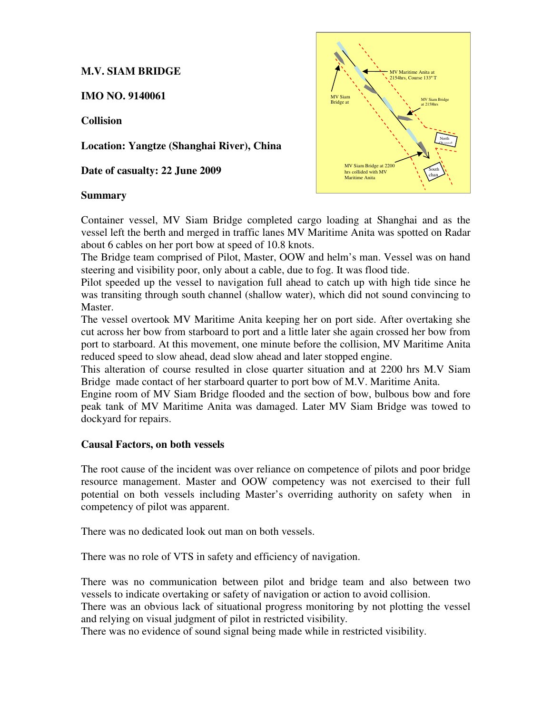### **M.V. SIAM BRIDGE**

**IMO NO. 9140061** 

**Collision** 

**Location: Yangtze (Shanghai River), China** 

**Date of casualty: 22 June 2009** 

#### **Summary**



Container vessel, MV Siam Bridge completed cargo loading at Shanghai and as the vessel left the berth and merged in traffic lanes MV Maritime Anita was spotted on Radar about 6 cables on her port bow at speed of 10.8 knots.

The Bridge team comprised of Pilot, Master, OOW and helm's man. Vessel was on hand steering and visibility poor, only about a cable, due to fog. It was flood tide.

Pilot speeded up the vessel to navigation full ahead to catch up with high tide since he was transiting through south channel (shallow water), which did not sound convincing to Master.

The vessel overtook MV Maritime Anita keeping her on port side. After overtaking she cut across her bow from starboard to port and a little later she again crossed her bow from port to starboard. At this movement, one minute before the collision, MV Maritime Anita reduced speed to slow ahead, dead slow ahead and later stopped engine.

This alteration of course resulted in close quarter situation and at 2200 hrs M.V Siam Bridge made contact of her starboard quarter to port bow of M.V. Maritime Anita.

Engine room of MV Siam Bridge flooded and the section of bow, bulbous bow and fore peak tank of MV Maritime Anita was damaged. Later MV Siam Bridge was towed to dockyard for repairs.

#### **Causal Factors, on both vessels**

The root cause of the incident was over reliance on competence of pilots and poor bridge resource management. Master and OOW competency was not exercised to their full potential on both vessels including Master's overriding authority on safety when in competency of pilot was apparent.

There was no dedicated look out man on both vessels.

There was no role of VTS in safety and efficiency of navigation.

There was no communication between pilot and bridge team and also between two vessels to indicate overtaking or safety of navigation or action to avoid collision.

There was an obvious lack of situational progress monitoring by not plotting the vessel and relying on visual judgment of pilot in restricted visibility.

There was no evidence of sound signal being made while in restricted visibility.